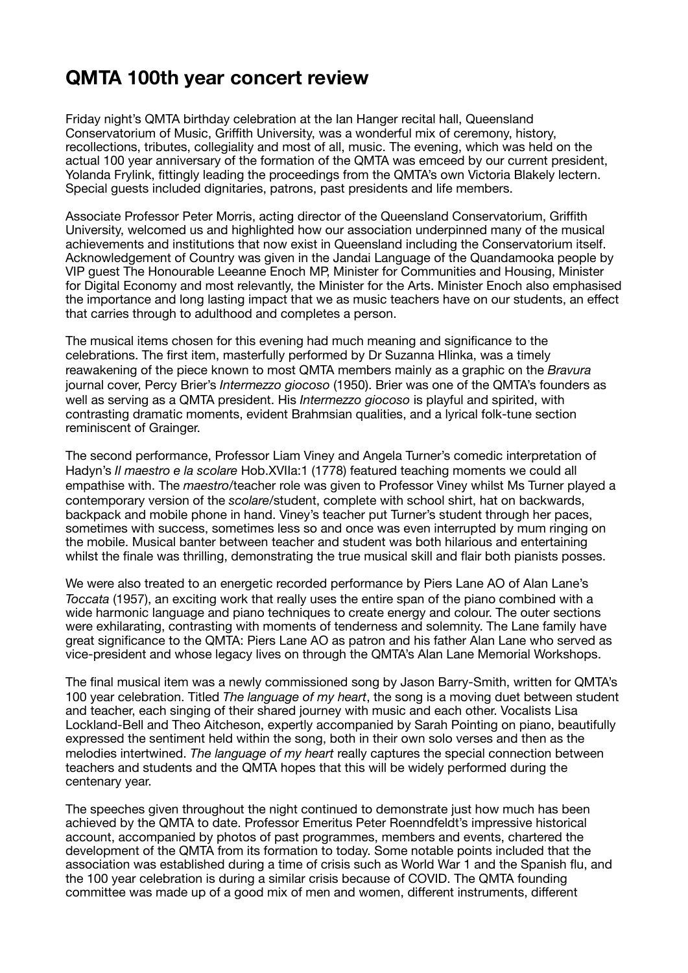## **QMTA 100th year concert review**

Friday night's QMTA birthday celebration at the Ian Hanger recital hall, Queensland Conservatorium of Music, Griffith University, was a wonderful mix of ceremony, history, recollections, tributes, collegiality and most of all, music. The evening, which was held on the actual 100 year anniversary of the formation of the QMTA was emceed by our current president, Yolanda Frylink, fittingly leading the proceedings from the QMTA's own Victoria Blakely lectern. Special guests included dignitaries, patrons, past presidents and life members.

Associate Professor Peter Morris, acting director of the Queensland Conservatorium, Griffith University, welcomed us and highlighted how our association underpinned many of the musical achievements and institutions that now exist in Queensland including the Conservatorium itself. Acknowledgement of Country was given in the Jandai Language of the Quandamooka people by VIP guest The Honourable Leeanne Enoch MP, Minister for Communities and Housing, Minister for Digital Economy and most relevantly, the Minister for the Arts. Minister Enoch also emphasised the importance and long lasting impact that we as music teachers have on our students, an effect that carries through to adulthood and completes a person.

The musical items chosen for this evening had much meaning and significance to the celebrations. The first item, masterfully performed by Dr Suzanna Hlinka, was a timely reawakening of the piece known to most QMTA members mainly as a graphic on the *Bravura*  journal cover, Percy Brier's *Intermezzo giocoso* (1950). Brier was one of the QMTA's founders as well as serving as a QMTA president. His *Intermezzo giocoso* is playful and spirited, with contrasting dramatic moments, evident Brahmsian qualities, and a lyrical folk-tune section reminiscent of Grainger.

The second performance, Professor Liam Viney and Angela Turner's comedic interpretation of Hadyn's *Il maestro e la scolare* Hob.XVIIa:1 (1778) featured teaching moments we could all empathise with. The *maestro*/teacher role was given to Professor Viney whilst Ms Turner played a contemporary version of the *scolare*/student, complete with school shirt, hat on backwards, backpack and mobile phone in hand. Viney's teacher put Turner's student through her paces, sometimes with success, sometimes less so and once was even interrupted by mum ringing on the mobile. Musical banter between teacher and student was both hilarious and entertaining whilst the finale was thrilling, demonstrating the true musical skill and flair both pianists posses.

We were also treated to an energetic recorded performance by Piers Lane AO of Alan Lane's *Toccata* (1957), an exciting work that really uses the entire span of the piano combined with a wide harmonic language and piano techniques to create energy and colour. The outer sections were exhilarating, contrasting with moments of tenderness and solemnity. The Lane family have great significance to the QMTA: Piers Lane AO as patron and his father Alan Lane who served as vice-president and whose legacy lives on through the QMTA's Alan Lane Memorial Workshops.

The final musical item was a newly commissioned song by Jason Barry-Smith, written for QMTA's 100 year celebration. Titled *The language of my heart*, the song is a moving duet between student and teacher, each singing of their shared journey with music and each other. Vocalists Lisa Lockland-Bell and Theo Aitcheson, expertly accompanied by Sarah Pointing on piano, beautifully expressed the sentiment held within the song, both in their own solo verses and then as the melodies intertwined. *The language of my heart* really captures the special connection between teachers and students and the QMTA hopes that this will be widely performed during the centenary year.

The speeches given throughout the night continued to demonstrate just how much has been achieved by the QMTA to date. Professor Emeritus Peter Roenndfeldt's impressive historical account, accompanied by photos of past programmes, members and events, chartered the development of the QMTA from its formation to today. Some notable points included that the association was established during a time of crisis such as World War 1 and the Spanish flu, and the 100 year celebration is during a similar crisis because of COVID. The QMTA founding committee was made up of a good mix of men and women, different instruments, different